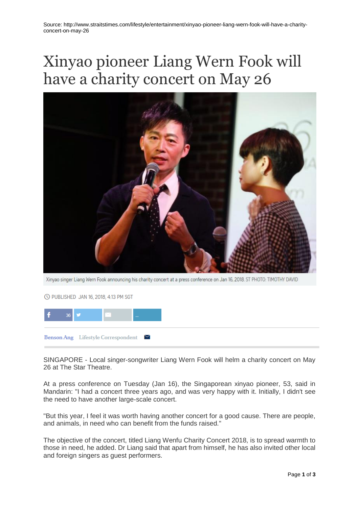## Xinyao pioneer Liang Wern Fook will have a charity concert on May 26



Xinyao singer Liang Wern Fook announcing his charity concert at a press conference on Jan 16, 2018. ST PHOTO: TIMOTHY DAVID

© PUBLISHED JAN 16, 2018, 4:13 PM SGT



SINGAPORE - Local singer-songwriter Liang Wern Fook will helm a charity concert on May 26 at The Star Theatre.

At a press conference on Tuesday (Jan 16), the Singaporean xinyao pioneer, 53, said in Mandarin: "I had a concert three years ago, and was very happy with it. Initially, I didn't see the need to have another large-scale concert.

"But this year, I feel it was worth having another concert for a good cause. There are people, and animals, in need who can benefit from the funds raised."

The objective of the concert, titled Liang Wenfu Charity Concert 2018, is to spread warmth to those in need, he added. Dr Liang said that apart from himself, he has also invited other local and foreign singers as guest performers.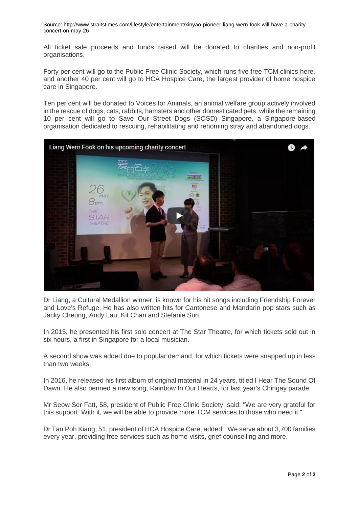Source: http://www.straitstimes.com/lifestyle/entertainment/xinyao-pioneer-liang-wern-fook-will-have-a-charityconcert-on-may-26

All ticket sale proceeds and funds raised will be donated to charities and non-profit organisations.

Forty per cent will go to the Public Free Clinic Society, which runs five free TCM clinics here, and another 40 per cent will go to HCA Hospice Care, the largest provider of home hospice care in Singapore.

Ten per cent will be donated to Voices for Animals, an animal welfare group actively involved in the rescue of dogs, cats, rabbits, hamsters and other domesticated pets, while the remaining 10 per cent will go to Save Our Street Dogs (SOSD) Singapore, a Singapore-based organisation dedicated to rescuing, rehabilitating and rehoming stray and abandoned dogs.



Dr Liang, a Cultural Medallion winner, is known for his hit songs including Friendship Forever and Love's Refuge. He has also written hits for Cantonese and Mandarin pop stars such as Jacky Cheung, Andy Lau, Kit Chan and Stefanie Sun.

In 2015, he presented his first solo concert at The Star Theatre, for which tickets sold out in six hours, a first in Singapore for a local musician.

A second show was added due to popular demand, for which tickets were snapped up in less than two weeks.

In 2016, he released his first album of original material in 24 years, titled I Hear The Sound Of Dawn. He also penned a new song, Rainbow In Our Hearts, for last year's Chingay parade.

Mr Seow Ser Fatt, 58, president of Public Free Clinic Society, said: "We are very grateful for this support. With it, we will be able to provide more TCM services to those who need it."

Dr Tan Poh Kiang, 51, president of HCA Hospice Care, added: "We serve about 3,700 families every year, providing free services such as home-visits, grief counselling and more.